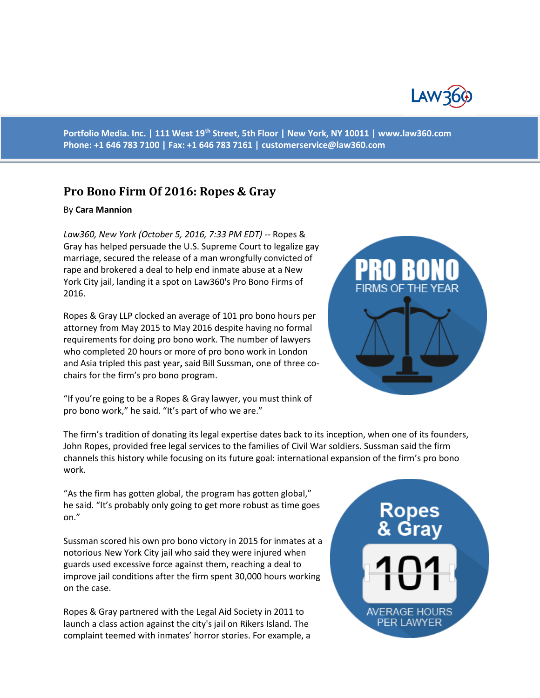

**Portfolio Media. Inc. | 111 West 19th Street, 5th Floor | New York, NY 10011 | www.law360.com Phone: +1 646 783 7100 | Fax: +1 646 783 7161 | [customerservice@law360.com](mailto:customerservice@law360.com)**

## **Pro Bono Firm Of 2016: Ropes & Gray**

## By **Cara Mannion**

*Law360, New York (October 5, 2016, 7:33 PM EDT)* -- Ropes & Gray has helped persuade the U.S. Supreme Court to legalize gay marriage, secured the release of a man wrongfully convicted of rape and brokered a deal to help end inmate abuse at a New York City jail, landing it a spot on Law360's Pro Bono Firms of 2016.

Ropes & Gray LLP clocked an average of 101 pro bono hours per attorney from May 2015 to May 2016 despite having no formal requirements for doing pro bono work. The number of lawyers who completed 20 hours or more of pro bono work in London and Asia tripled this past year**,** said Bill Sussman, one of three cochairs for the firm's pro bono program.

"If you're going to be a Ropes & Gray lawyer, you must think of pro bono work," he said. "It's part of who we are."

The firm's tradition of donating its legal expertise dates back to its inception, when one of its founders, John Ropes, provided free legal services to the families of Civil War soldiers. Sussman said the firm channels this history while focusing on its future goal: international expansion of the firm's pro bono work.

"As the firm has gotten global, the program has gotten global," he said. "It's probably only going to get more robust as time goes on."

Sussman scored his own pro bono victory in 2015 for inmates at a notorious New York City jail who said they were injured when guards used excessive force against them, reaching a deal to improve jail conditions after the firm spent 30,000 hours working on the case.

Ropes & Gray partnered with the Legal Aid Society in 2011 to launch a class action against the city's jail on Rikers Island. The complaint teemed with inmates' horror stories. For example, a

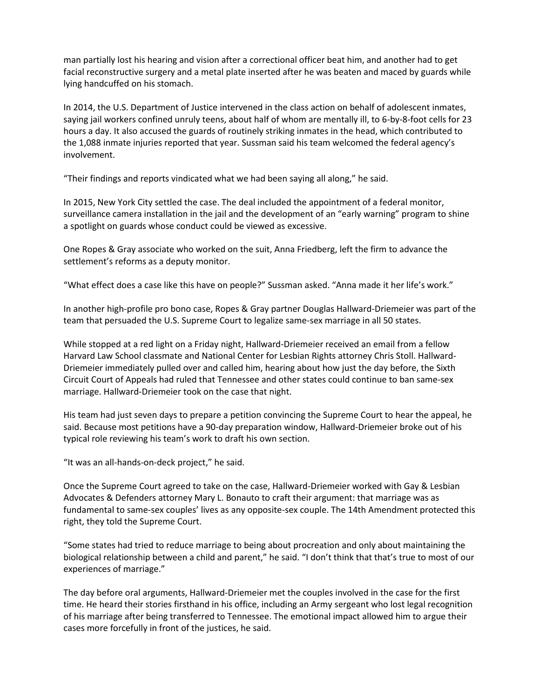man partially lost his hearing and vision after a correctional officer beat him, and another had to get facial reconstructive surgery and a metal plate inserted after he was beaten and maced by guards while lying handcuffed on his stomach.

In 2014, the U.S. Department of Justice intervened in the class action on behalf of adolescent inmates, saying jail workers confined unruly teens, about half of whom are mentally ill, to 6-by-8-foot cells for 23 hours a day. It also accused the guards of routinely striking inmates in the head, which contributed to the 1,088 inmate injuries reported that year. Sussman said his team welcomed the federal agency's involvement.

"Their findings and reports vindicated what we had been saying all along," he said.

In 2015, New York City settled the case. The deal included the appointment of a federal monitor, surveillance camera installation in the jail and the development of an "early warning" program to shine a spotlight on guards whose conduct could be viewed as excessive.

One Ropes & Gray associate who worked on the suit, Anna Friedberg, left the firm to advance the settlement's reforms as a deputy monitor.

"What effect does a case like this have on people?" Sussman asked. "Anna made it her life's work."

In another high-profile pro bono case, Ropes & Gray partner Douglas Hallward-Driemeier was part of the team that persuaded the U.S. Supreme Court to legalize same-sex marriage in all 50 states.

While stopped at a red light on a Friday night, Hallward-Driemeier received an email from a fellow Harvard Law School classmate and National Center for Lesbian Rights attorney Chris Stoll. Hallward-Driemeier immediately pulled over and called him, hearing about how just the day before, the Sixth Circuit Court of Appeals had ruled that Tennessee and other states could continue to ban same-sex marriage. Hallward-Driemeier took on the case that night.

His team had just seven days to prepare a petition convincing the Supreme Court to hear the appeal, he said. Because most petitions have a 90-day preparation window, Hallward-Driemeier broke out of his typical role reviewing his team's work to draft his own section.

"It was an all-hands-on-deck project," he said.

Once the Supreme Court agreed to take on the case, Hallward-Driemeier worked with Gay & Lesbian Advocates & Defenders attorney Mary L. Bonauto to craft their argument: that marriage was as fundamental to same-sex couples' lives as any opposite-sex couple. The 14th Amendment protected this right, they told the Supreme Court.

"Some states had tried to reduce marriage to being about procreation and only about maintaining the biological relationship between a child and parent," he said. "I don't think that that's true to most of our experiences of marriage."

The day before oral arguments, Hallward-Driemeier met the couples involved in the case for the first time. He heard their stories firsthand in his office, including an Army sergeant who lost legal recognition of his marriage after being transferred to Tennessee. The emotional impact allowed him to argue their cases more forcefully in front of the justices, he said.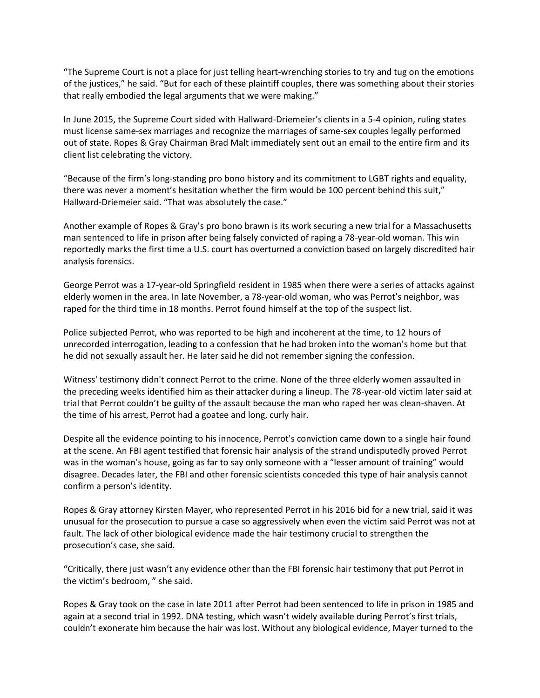"The Supreme Court is not a place for just telling heart-wrenching stories to try and tug on the emotions of the justices," he said. "But for each of these plaintiff couples, there was something about their stories that really embodied the legal arguments that we were making."

In June 2015, the Supreme Court sided with Hallward-Driemeier's clients in a 5-4 opinion, ruling states must license same-sex marriages and recognize the marriages of same-sex couples legally performed out of state. Ropes & Gray Chairman Brad Malt immediately sent out an email to the entire firm and its client list celebrating the victory.

"Because of the firm's long-standing pro bono history and its commitment to LGBT rights and equality, there was never a moment's hesitation whether the firm would be 100 percent behind this suit," Hallward-Driemeier said. "That was absolutely the case."

Another example of Ropes & Gray's pro bono brawn is its work securing a new trial for a Massachusetts man sentenced to life in prison after being falsely convicted of raping a 78-year-old woman. This win reportedly marks the first time a U.S. court has overturned a conviction based on largely discredited hair analysis forensics.

George Perrot was a 17-year-old Springfield resident in 1985 when there were a series of attacks against elderly women in the area. In late November, a 78-year-old woman, who was Perrot's neighbor, was raped for the third time in 18 months. Perrot found himself at the top of the suspect list.

Police subjected Perrot, who was reported to be high and incoherent at the time, to 12 hours of unrecorded interrogation, leading to a confession that he had broken into the woman's home but that he did not sexually assault her. He later said he did not remember signing the confession.

Witness' testimony didn't connect Perrot to the crime. None of the three elderly women assaulted in the preceding weeks identified him as their attacker during a lineup. The 78-year-old victim later said at trial that Perrot couldn't be guilty of the assault because the man who raped her was clean-shaven. At the time of his arrest, Perrot had a goatee and long, curly hair.

Despite all the evidence pointing to his innocence, Perrot's conviction came down to a single hair found at the scene. An FBI agent testified that forensic hair analysis of the strand undisputedly proved Perrot was in the woman's house, going as far to say only someone with a "lesser amount of training" would disagree. Decades later, the FBI and other forensic scientists conceded this type of hair analysis cannot confirm a person's identity.

Ropes & Gray attorney Kirsten Mayer, who represented Perrot in his 2016 bid for a new trial, said it was unusual for the prosecution to pursue a case so aggressively when even the victim said Perrot was not at fault. The lack of other biological evidence made the hair testimony crucial to strengthen the prosecution's case, she said.

"Critically, there just wasn't any evidence other than the FBI forensic hair testimony that put Perrot in the victim's bedroom, " she said.

Ropes & Gray took on the case in late 2011 after Perrot had been sentenced to life in prison in 1985 and again at a second trial in 1992. DNA testing, which wasn't widely available during Perrot's first trials, couldn't exonerate him because the hair was lost. Without any biological evidence, Mayer turned to the